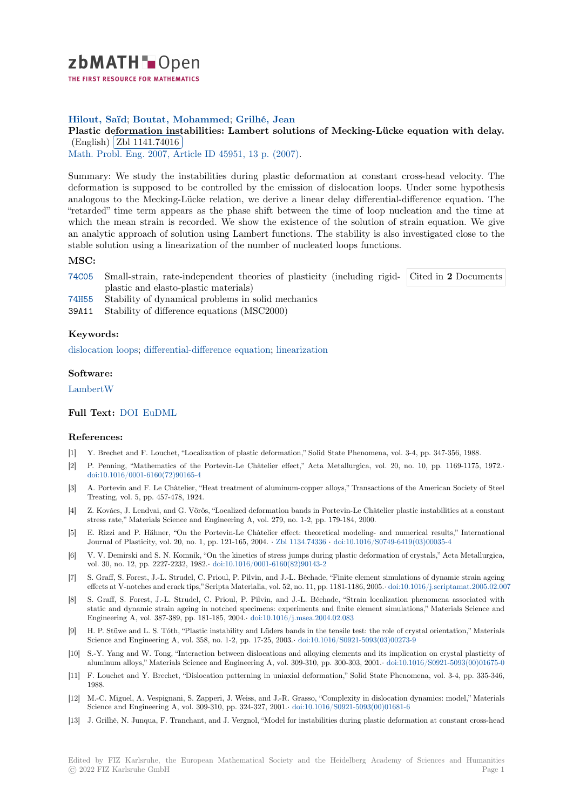

# **Hilout, Saïd**; **Boutat, Mohammed**; **Grilhé, Jean**

[P](https://zbmath.org/)lastic deformation instabilities: Lambert solutions of Mecking-Lücke equation with delay. (English) Zbl 1141.74016

Wath. Probl. Eng. 2007, Article ID 45951, 13 p. (2007).

[Summary: We study the instabilities during plastic deformation at constant cross-head velocity. The](https://zbmath.org/1141.74016) deformati[on is supposed to](https://zbmath.org/1141.74016) be controlled by the emission of dislocation loops. Under some hypothesis [analogous to the](https://zbmath.org/journals/?q=se:2235) [Mecking-Lücke relation, we derive a](https://zbmath.org/?q=in:220203) linear delay differential-difference equation. The "retarded" time term appears as the phase shift between the time of loop nucleation and the time at which the mean strain is recorded. We show the existence of the solution of strain equation. We give an analytic approach of solution using Lambert functions. The stability is also investigated close to the stable solution using a linearization of the number of nucleated loops functions.

# **MSC:**

74C05 Small-strain, rate-independent theories of plasticity (including rigidplastic and elasto-plastic materials) Cited in **2** Documents

74H55 Stability of dynamical problems in solid mechanics

39A11 Stability of difference equations (MSC2000)

### **[Keyw](https://zbmath.org/classification/?q=cc:74C05)ords:**

[disloca](https://zbmath.org/classification/?q=cc:74H55)tion loops; differential-difference equation; linearization

#### **Software:**

[LambertW](https://zbmath.org/?q=ut:dislocation+loops)

## **Full Text:** DOI EuDML

#### **[Reference](https://swmath.org/software/28212)s:**

- [1] Y. Brechet and F. Louchet, "Localization of plastic deformation," Solid State Phenomena, vol. 3-4, pp. 347-356, 1988.
- [2] P. Penni[ng, "M](https://dx.doi.org/10.1155/2007/45951)[athematics](https://eudml.org/doc/54361) of the Portevin-Le Châtelier effect," Acta Metallurgica, vol. 20, no. 10, pp. 1169-1175, 1972.*·* doi:10.1016/0001-6160(72)90165-4
- [3] A. Portevin and F. Le Châtelier, "Heat treatment of aluminum-copper alloys," Transactions of the American Society of Steel Treating, vol. 5, pp. 457-478, 1924.
- [4] Z. Kovács, J. Lendvai, and G. Vörös, "Localized deformation bands in Portevin-Le Châtelier plastic instabilities at a constant [stress rate," Materials Science and](https://dx.doi.org/10.1016/0001-6160(72)90165-4) Engineering A, vol. 279, no. 1-2, pp. 179-184, 2000.
- [5] E. Rizzi and P. Hähner, "On the Portevin-Le Châtelier effect: theoretical modeling- and numerical results," International Journal of Plasticity, vol. 20, no. 1, pp. 121-165, 2004. *·* Zbl 1134.74336 *·* doi:10.1016/S0749-6419(03)00035-4
- [6] V. V. Demirski and S. N. Komnik, "On the kinetics of stress jumps during plastic deformation of crystals," Acta Metallurgica, vol. 30, no. 12, pp. 2227-2232, 1982.*·* doi:10.1016/0001-6160(82)90143-2
- [7] S. Graff, S. Forest, J.-L. Strudel, C. Prioul, P. Pilvin, and J.-L. Béchade, "Finite element simulations of dynamic strain ageing effects at V-notches and crack tips," Scripta Materialia, v[ol. 52, no. 11, pp.](https://zbmath.org/1134.74336) 1181-1186, 2005.*·* [doi:10.1016/j.script](https://dx.doi.org/10.1016/S0749-6419(03)00035-4)amat.2005.02.007
- [8] S. Graff, S. Forest, J.-L. Strudel, C. Prioul, P. Pilvin, and J.-L. Béchade, "Strain localization phenomena associated with static and dynamic strain ageing in [notched specimens: experiments an](https://dx.doi.org/10.1016/0001-6160(82)90143-2)d finite element simulations," Materials Science and Engineering A, vol. 387-389, pp. 181-185, 2004.*·* doi:10.1016/j.msea.2004.02.083
- [9] H. P. Stüwe and L. S. Tóth, "Plastic instability and Lüders bands in the tensile test: ther[ole of crystal orientation," Materials](https://dx.doi.org/10.1016/j.scriptamat.2005.02.007) Science and Engineering A, vol. 358, no. 1-2, pp. 17-25, 2003.*·* doi:10.1016/S0921-5093(03)00273-9
- [10] S.-Y. Yang and W. Tong, "Interaction between dislocations and alloying elements and its implication on crystal plasticity of aluminum alloys," Materials Science and Engine[ering A, vol. 309-310, pp. 300-30](https://dx.doi.org/10.1016/j.msea.2004.02.083)3, 2001.*·* doi:10.1016/S0921-5093(00)01675-0
- [11] F. Louchet and Y. Brechet, "Dislocation patterning in uniaxial deformation," Solid State Phenomena, vol. 3-4, pp. 335-346, 1988.
- [12] M.-C. Miguel, A. Vespignani, S. Zapperi, J. Weiss, and J.-R. Grasso, "Complexity in dislocation dynamics: model," Materials Science and Engineering A, vol. 309-310, pp. 324-327, 2001.*·* doi:10.1016/S0921-5093(00)[01681-6](https://dx.doi.org/10.1016/S0921-5093(00)01675-0)
- [13] J. Grilhé, N. Junqua, F. Tranchant, and J. Vergnol, "Model for instabilities during plastic deformation at constant cross-head